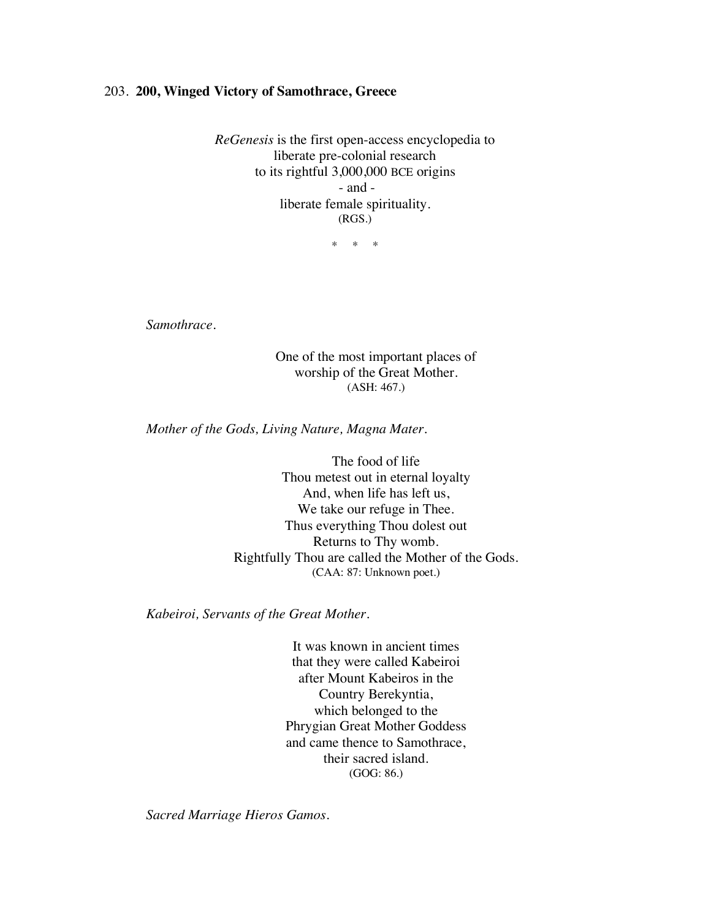## 203. **200, Winged Victory of Samothrace, Greece**

*ReGenesis* is the first open-access encyclopedia to liberate pre-colonial research to its rightful 3,000,000 BCE origins - and liberate female spirituality. (RGS.)

\* \* \*

*Samothrace.*

One of the most important places of worship of the Great Mother. (ASH: 467.)

*Mother of the Gods, Living Nature, Magna Mater.*

The food of life Thou metest out in eternal loyalty And, when life has left us, We take our refuge in Thee. Thus everything Thou dolest out Returns to Thy womb. Rightfully Thou are called the Mother of the Gods. (CAA: 87: Unknown poet.)

*Kabeiroi, Servants of the Great Mother.*

It was known in ancient times that they were called Kabeiroi after Mount Kabeiros in the Country Berekyntia, which belonged to the Phrygian Great Mother Goddess and came thence to Samothrace, their sacred island. (GOG: 86.)

*Sacred Marriage Hieros Gamos.*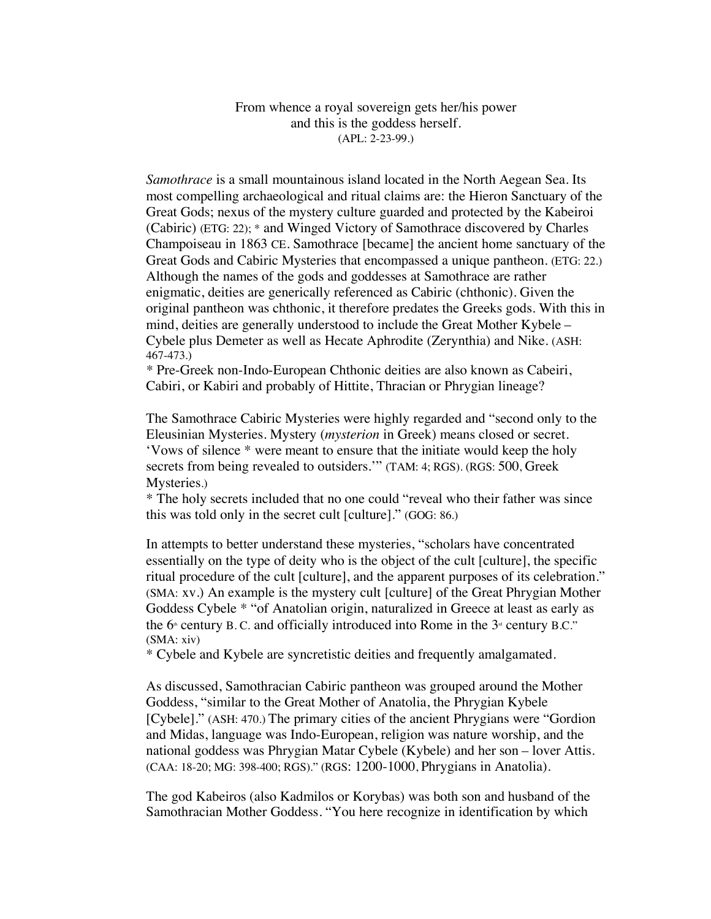From whence a royal sovereign gets her/his power and this is the goddess herself. (APL: 2-23-99.)

*Samothrace* is a small mountainous island located in the North Aegean Sea. Its most compelling archaeological and ritual claims are: the Hieron Sanctuary of the Great Gods; nexus of the mystery culture guarded and protected by the Kabeiroi (Cabiric) (ETG: 22); \* and Winged Victory of Samothrace discovered by Charles Champoiseau in 1863 CE. Samothrace [became] the ancient home sanctuary of the Great Gods and Cabiric Mysteries that encompassed a unique pantheon. (ETG: 22.) Although the names of the gods and goddesses at Samothrace are rather enigmatic, deities are generically referenced as Cabiric (chthonic). Given the original pantheon was chthonic, it therefore predates the Greeks gods. With this in mind, deities are generally understood to include the Great Mother Kybele – Cybele plus Demeter as well as Hecate Aphrodite (Zerynthia) and Nike. (ASH: 467-473.)

*\** Pre-Greek non-Indo-European Chthonic deities are also known as Cabeiri, Cabiri, or Kabiri and probably of Hittite, Thracian or Phrygian lineage?

The Samothrace Cabiric Mysteries were highly regarded and "second only to the Eleusinian Mysteries. Mystery (*mysterion* in Greek) means closed or secret. 'Vows of silence \* were meant to ensure that the initiate would keep the holy secrets from being revealed to outsiders.'" (TAM: 4; RGS). (RGS: 500, Greek Mysteries.)

\* The holy secrets included that no one could "reveal who their father was since this was told only in the secret cult [culture]." (GOG: 86.)

In attempts to better understand these mysteries, "scholars have concentrated essentially on the type of deity who is the object of the cult [culture], the specific ritual procedure of the cult [culture], and the apparent purposes of its celebration." (SMA: xv.) An example is the mystery cult [culture] of the Great Phrygian Mother Goddess Cybele \* "of Anatolian origin, naturalized in Greece at least as early as the  $6<sup>th</sup>$  century B. C. and officially introduced into Rome in the  $3<sup>th</sup>$  century B.C." (SMA: xiv)

\* Cybele and Kybele are syncretistic deities and frequently amalgamated.

As discussed, Samothracian Cabiric pantheon was grouped around the Mother Goddess, "similar to the Great Mother of Anatolia, the Phrygian Kybele [Cybele]." (ASH: 470.) The primary cities of the ancient Phrygians were "Gordion and Midas, language was Indo-European, religion was nature worship, and the national goddess was Phrygian Matar Cybele (Kybele) and her son – lover Attis. (CAA: 18-20; MG: 398-400; RGS)." (RGS: 1200-1000, Phrygians in Anatolia).

The god Kabeiros (also Kadmilos or Korybas) was both son and husband of the Samothracian Mother Goddess. "You here recognize in identification by which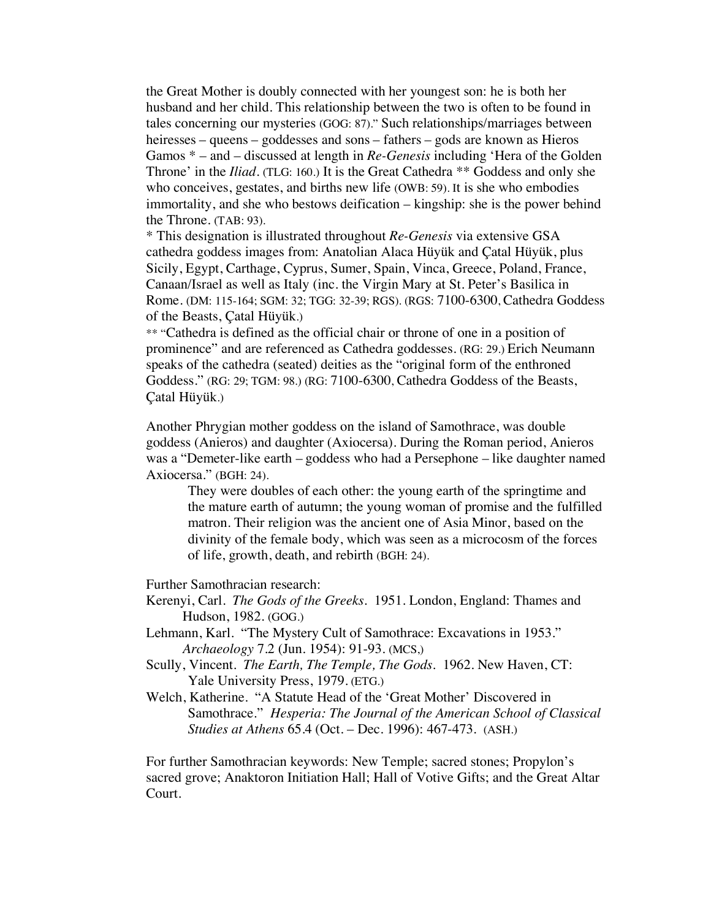the Great Mother is doubly connected with her youngest son: he is both her husband and her child. This relationship between the two is often to be found in tales concerning our mysteries (GOG: 87)." Such relationships/marriages between heiresses – queens – goddesses and sons – fathers – gods are known as Hieros Gamos \* – and – discussed at length in *Re-Genesis* including 'Hera of the Golden Throne' in the *Iliad*. (TLG: 160.) It is the Great Cathedra \*\* Goddess and only she who conceives, gestates, and births new life (OWB: 59). It is she who embodies immortality, and she who bestows deification – kingship: she is the power behind the Throne. (TAB: 93).

\* This designation is illustrated throughout *Re-Genesis* via extensive GSA cathedra goddess images from: Anatolian Alaca Hüyük and Çatal Hüyük, plus Sicily, Egypt, Carthage, Cyprus, Sumer, Spain, Vinca, Greece, Poland, France, Canaan/Israel as well as Italy (inc. the Virgin Mary at St. Peter's Basilica in Rome. (DM: 115-164; SGM: 32; TGG: 32-39; RGS). (RGS: 7100-6300, Cathedra Goddess of the Beasts, Çatal Hüyük.)

\*\* "Cathedra is defined as the official chair or throne of one in a position of prominence" and are referenced as Cathedra goddesses. (RG: 29.) Erich Neumann speaks of the cathedra (seated) deities as the "original form of the enthroned Goddess." (RG: 29; TGM: 98.) (RG: 7100-6300, Cathedra Goddess of the Beasts, Çatal Hüyük.)

Another Phrygian mother goddess on the island of Samothrace, was double goddess (Anieros) and daughter (Axiocersa). During the Roman period, Anieros was a "Demeter-like earth – goddess who had a Persephone – like daughter named Axiocersa." (BGH: 24).

They were doubles of each other: the young earth of the springtime and the mature earth of autumn; the young woman of promise and the fulfilled matron. Their religion was the ancient one of Asia Minor, based on the divinity of the female body, which was seen as a microcosm of the forces of life, growth, death, and rebirth (BGH: 24).

Further Samothracian research:

- Kerenyi, Carl. *The Gods of the Greeks*. 1951. London, England: Thames and Hudson, 1982. (GOG.)
- Lehmann, Karl. "The Mystery Cult of Samothrace: Excavations in 1953." *Archaeology* 7.2 (Jun. 1954): 91-93. (MCS,)
- Scully, Vincent. *The Earth, The Temple, The Gods*. 1962. New Haven, CT: Yale University Press, 1979. (ETG.)
- Welch, Katherine. "A Statute Head of the 'Great Mother' Discovered in Samothrace." *Hesperia: The Journal of the American School of Classical Studies at Athens* 65.4 (Oct. – Dec. 1996): 467-473. (ASH.)

For further Samothracian keywords: New Temple; sacred stones; Propylon's sacred grove; Anaktoron Initiation Hall; Hall of Votive Gifts; and the Great Altar Court.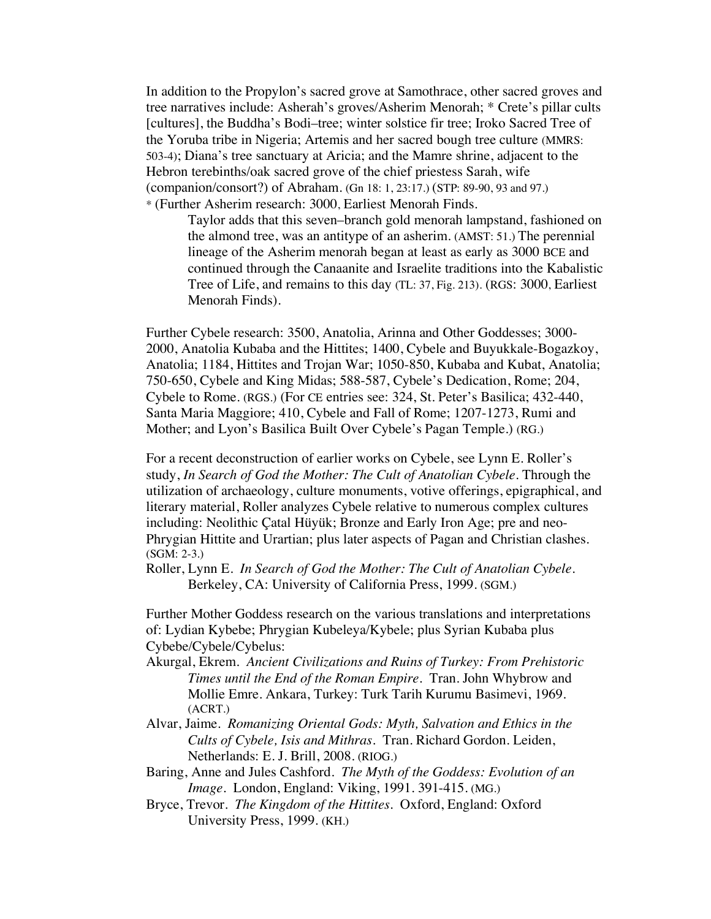In addition to the Propylon's sacred grove at Samothrace, other sacred groves and tree narratives include: Asherah's groves/Asherim Menorah; \* Crete's pillar cults [cultures], the Buddha's Bodi–tree; winter solstice fir tree; Iroko Sacred Tree of the Yoruba tribe in Nigeria; Artemis and her sacred bough tree culture (MMRS: 503-4); Diana's tree sanctuary at Aricia; and the Mamre shrine, adjacent to the Hebron terebinths/oak sacred grove of the chief priestess Sarah, wife (companion/consort?) of Abraham. (Gn 18: 1, 23:17.) (STP: 89-90, 93 and 97.) \* (Further Asherim research: 3000, Earliest Menorah Finds.

Taylor adds that this seven–branch gold menorah lampstand, fashioned on the almond tree, was an antitype of an asherim. (AMST: 51.) The perennial lineage of the Asherim menorah began at least as early as 3000 BCE and continued through the Canaanite and Israelite traditions into the Kabalistic Tree of Life, and remains to this day (TL: 37, Fig. 213). (RGS: 3000, Earliest Menorah Finds).

Further Cybele research: 3500, Anatolia, Arinna and Other Goddesses; 3000- 2000, Anatolia Kubaba and the Hittites; 1400, Cybele and Buyukkale-Bogazkoy, Anatolia; 1184, Hittites and Trojan War; 1050-850, Kubaba and Kubat, Anatolia; 750-650, Cybele and King Midas; 588-587, Cybele's Dedication, Rome; 204, Cybele to Rome. (RGS.) (For CE entries see: 324, St. Peter's Basilica; 432-440, Santa Maria Maggiore; 410, Cybele and Fall of Rome; 1207-1273, Rumi and Mother; and Lyon's Basilica Built Over Cybele's Pagan Temple.) (RG.)

For a recent deconstruction of earlier works on Cybele, see Lynn E. Roller's study, *In Search of God the Mother: The Cult of Anatolian Cybele.* Through the utilization of archaeology, culture monuments, votive offerings, epigraphical, and literary material, Roller analyzes Cybele relative to numerous complex cultures including: Neolithic Çatal Hüyük; Bronze and Early Iron Age; pre and neo-Phrygian Hittite and Urartian; plus later aspects of Pagan and Christian clashes. (SGM: 2-3.)

Roller, Lynn E. *In Search of God the Mother: The Cult of Anatolian Cybele.* Berkeley, CA: University of California Press, 1999. (SGM.)

Further Mother Goddess research on the various translations and interpretations of: Lydian Kybebe; Phrygian Kubeleya/Kybele; plus Syrian Kubaba plus Cybebe/Cybele/Cybelus:

- Akurgal, Ekrem*. Ancient Civilizations and Ruins of Turkey: From Prehistoric Times until the End of the Roman Empire*. Tran. John Whybrow and Mollie Emre. Ankara, Turkey: Turk Tarih Kurumu Basimevi, 1969. (ACRT.)
- Alvar, Jaime. *Romanizing Oriental Gods: Myth, Salvation and Ethics in the Cults of Cybele, Isis and Mithras.* Tran. Richard Gordon. Leiden, Netherlands: E. J. Brill, 2008. (RIOG.)
- Baring, Anne and Jules Cashford. *The Myth of the Goddess: Evolution of an Image.* London, England: Viking, 1991. 391-415. (MG.)
- Bryce, Trevor. *The Kingdom of the Hittites*. Oxford, England: Oxford University Press, 1999. (KH.)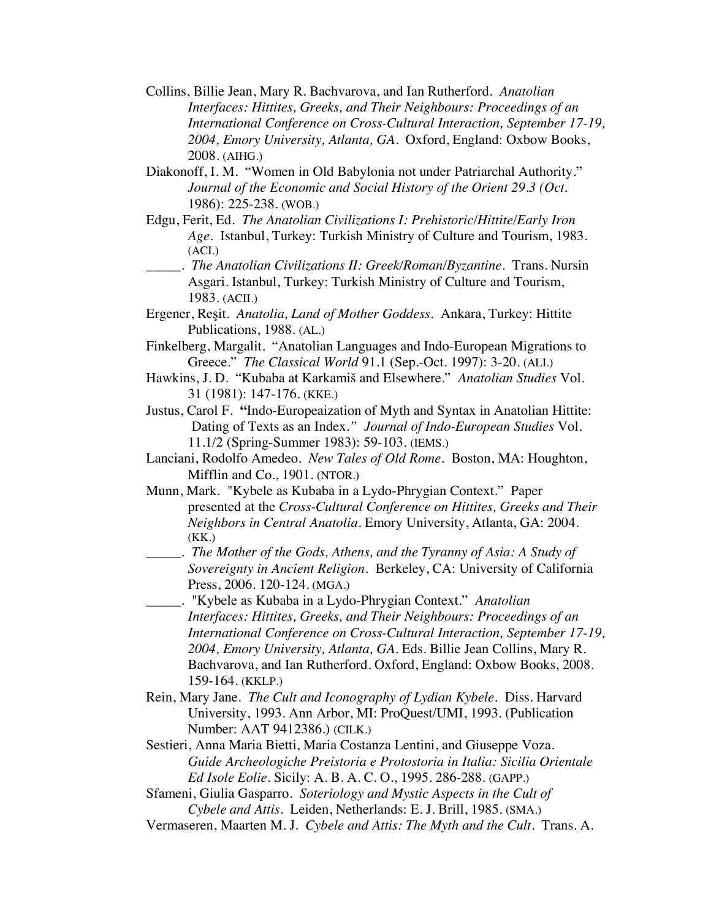- Collins, Billie Jean, Mary R. Bachvarova, and Ian Rutherford. *Anatolian Interfaces: Hittites, Greeks, and Their Neighbours: Proceedings of an International Conference on Cross-Cultural Interaction, September 17-19, 2004, Emory University, Atlanta, GA*. Oxford, England: Oxbow Books, 2008. (AIHG.)
- Diakonoff, I. M. "Women in Old Babylonia not under Patriarchal Authority." *Journal of the Economic and Social History of the Orient 29.3 (Oct.*  1986): 225-238. (WOB.)
- Edgu, Ferit, Ed. *The Anatolian Civilizations I: Prehistoric/Hittite/Early Iron Age*. Istanbul, Turkey: Turkish Ministry of Culture and Tourism, 1983. (ACI.)
- \_\_\_\_\_. *The Anatolian Civilizations II: Greek/Roman/Byzantine*. Trans. Nursin Asgari. Istanbul, Turkey: Turkish Ministry of Culture and Tourism, 1983. (ACII.)

Ergener, Reşit. *Anatolia, Land of Mother Goddess*. Ankara, Turkey: Hittite Publications, 1988. (AL.)

- Finkelberg, Margalit. "Anatolian Languages and Indo-European Migrations to Greece." *The Classical World* 91.1 (Sep.-Oct. 1997): 3-20. (ALI.)
- Hawkins, J. D. "Kubaba at Karkamiš and Elsewhere." *Anatolian Studies* Vol. 31 (1981): 147-176. (KKE.)
- Justus, Carol F. **"**Indo-Europeaization of Myth and Syntax in Anatolian Hittite: Dating of Texts as an Index*." Journal of Indo-European Studies* Vol. 11.1/2 (Spring-Summer 1983): 59-103. (IEMS.)
- Lanciani, Rodolfo Amedeo. *New Tales of Old Rome*. Boston, MA: Houghton, Mifflin and Co., 1901. (NTOR.)
- Munn, Mark. "Kybele as Kubaba in a Lydo-Phrygian Context." Paper presented at the *Cross-Cultural Conference on Hittites, Greeks and Their Neighbors in Central Anatolia.* Emory University, Atlanta, GA: 2004. (KK.)
- \_\_\_\_\_. *The Mother of the Gods, Athens, and the Tyranny of Asia: A Study of Sovereignty in Ancient Religion.* Berkeley, CA: University of California Press, 2006. 120-124. (MGA.)
- \_\_\_\_\_. "Kybele as Kubaba in a Lydo-Phrygian Context." *Anatolian Interfaces: Hittites, Greeks, and Their Neighbours: Proceedings of an International Conference on Cross-Cultural Interaction, September 17-19, 2004, Emory University, Atlanta, GA.* Eds. Billie Jean Collins, Mary R. Bachvarova, and Ian Rutherford. Oxford, England: Oxbow Books, 2008. 159-164. (KKLP.)
- Rein, Mary Jane. *The Cult and Iconography of Lydian Kybele.* Diss. Harvard University, 1993. Ann Arbor, MI: ProQuest/UMI, 1993. (Publication Number: AAT 9412386.) (CILK.)
- Sestieri, Anna Maria Bietti, Maria Costanza Lentini, and Giuseppe Voza. *Guide Archeologiche Preistoria e Protostoria in Italia: Sicilia Orientale Ed Isole Eolie.* Sicily: A. B. A. C. O., 1995. 286-288. (GAPP.)
- Sfameni, Giulia Gasparro. *Soteriology and Mystic Aspects in the Cult of Cybele and Attis.* Leiden, Netherlands: E. J. Brill, 1985. (SMA.)
- Vermaseren, Maarten M. J. *Cybele and Attis: The Myth and the Cult.* Trans. A.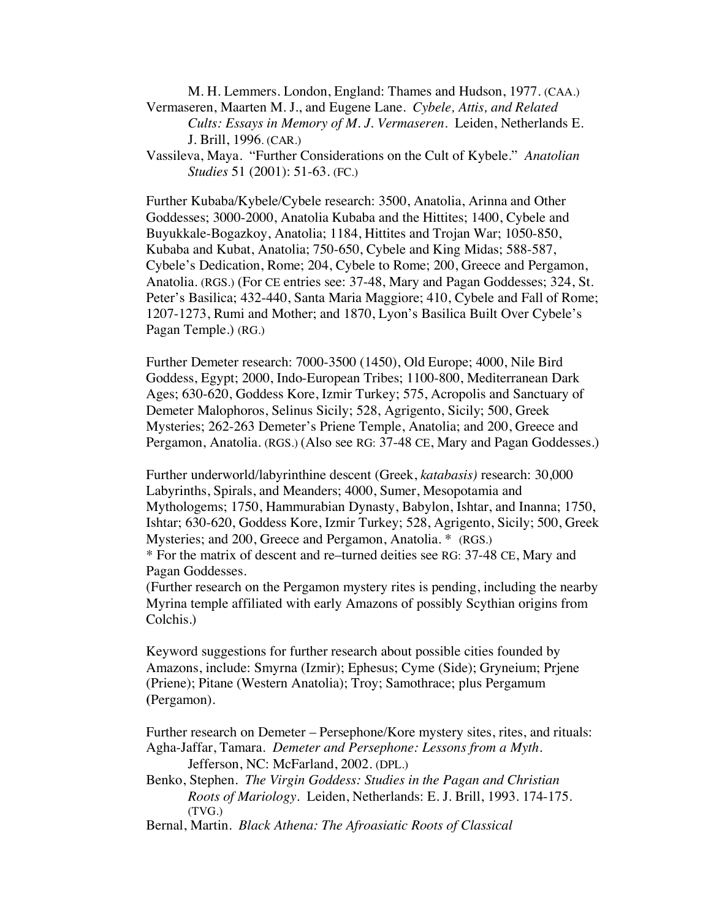M. H. Lemmers. London, England: Thames and Hudson, 1977. (CAA.) Vermaseren, Maarten M. J., and Eugene Lane. *Cybele, Attis, and Related*

*Cults: Essays in Memory of M. J. Vermaseren*. Leiden, Netherlands E. J. Brill, 1996. (CAR.)

Vassileva, Maya. "Further Considerations on the Cult of Kybele." *Anatolian Studies* 51 (2001): 51-63. (FC.)

Further Kubaba/Kybele/Cybele research: 3500, Anatolia, Arinna and Other Goddesses; 3000-2000, Anatolia Kubaba and the Hittites; 1400, Cybele and Buyukkale-Bogazkoy, Anatolia; 1184, Hittites and Trojan War; 1050-850, Kubaba and Kubat, Anatolia; 750-650, Cybele and King Midas; 588-587, Cybele's Dedication, Rome; 204, Cybele to Rome; 200, Greece and Pergamon, Anatolia. (RGS.) (For CE entries see: 37-48, Mary and Pagan Goddesses; 324, St. Peter's Basilica; 432-440, Santa Maria Maggiore; 410, Cybele and Fall of Rome; 1207-1273, Rumi and Mother; and 1870, Lyon's Basilica Built Over Cybele's Pagan Temple.) (RG.)

Further Demeter research: 7000-3500 (1450), Old Europe; 4000, Nile Bird Goddess, Egypt; 2000, Indo-European Tribes; 1100-800, Mediterranean Dark Ages; 630-620, Goddess Kore, Izmir Turkey; 575, Acropolis and Sanctuary of Demeter Malophoros, Selinus Sicily; 528, Agrigento, Sicily; 500, Greek Mysteries; 262-263 Demeter's Priene Temple, Anatolia; and 200, Greece and Pergamon, Anatolia. (RGS.) (Also see RG: 37-48 CE, Mary and Pagan Goddesses.)

Further underworld/labyrinthine descent (Greek, *katabasis)* research: 30,000 Labyrinths, Spirals, and Meanders; 4000, Sumer, Mesopotamia and Mythologems; 1750, Hammurabian Dynasty, Babylon, Ishtar, and Inanna; 1750, Ishtar; 630-620, Goddess Kore, Izmir Turkey; 528, Agrigento, Sicily; 500, Greek Mysteries; and 200, Greece and Pergamon, Anatolia. \* (RGS.)

\* For the matrix of descent and re–turned deities see RG: 37-48 CE, Mary and Pagan Goddesses.

(Further research on the Pergamon mystery rites is pending, including the nearby Myrina temple affiliated with early Amazons of possibly Scythian origins from Colchis.)

Keyword suggestions for further research about possible cities founded by Amazons, include: Smyrna (Izmir); Ephesus; Cyme (Side); Gryneium; Prjene (Priene); Pitane (Western Anatolia); Troy; Samothrace; plus Pergamum **(**Pergamon).

Further research on Demeter – Persephone/Kore mystery sites, rites, and rituals: Agha-Jaffar, Tamara. *Demeter and Persephone: Lessons from a Myth*. Jefferson, NC: McFarland, 2002. (DPL.)

- Benko, Stephen. *The Virgin Goddess: Studies in the Pagan and Christian Roots of Mariology*. Leiden, Netherlands: E. J. Brill, 1993. 174-175. (TVG.)
- Bernal, Martin. *Black Athena: The Afroasiatic Roots of Classical*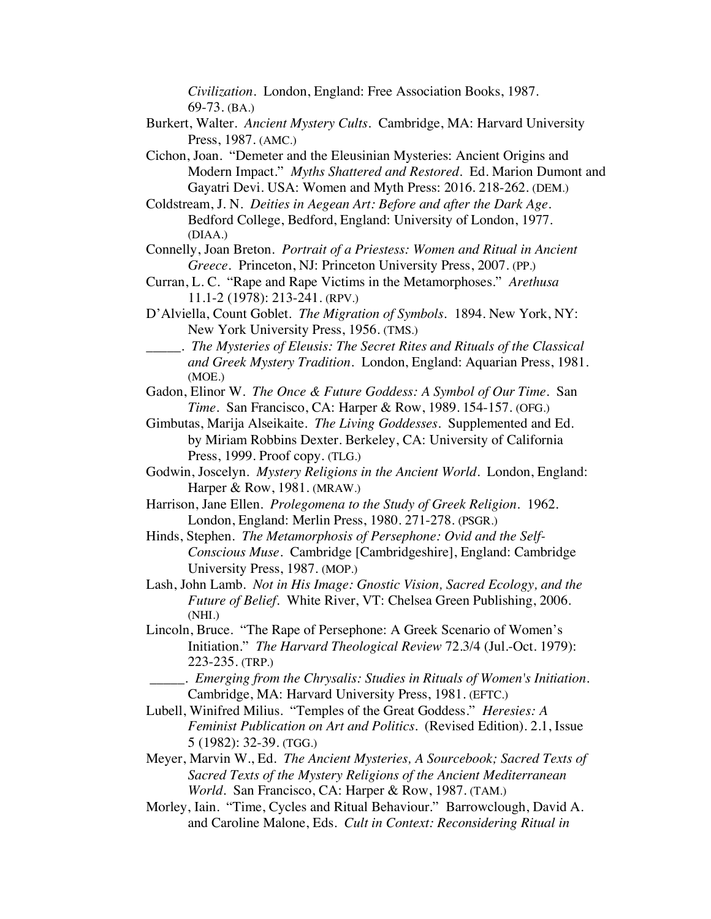*Civilization*. London, England: Free Association Books, 1987. 69-73. (BA.)

- Burkert, Walter. *Ancient Mystery Cults.* Cambridge, MA: Harvard University Press, 1987. (AMC.)
- Cichon, Joan. "Demeter and the Eleusinian Mysteries: Ancient Origins and Modern Impact." *Myths Shattered and Restored*. Ed. Marion Dumont and Gayatri Devi. USA: Women and Myth Press: 2016. 218-262. (DEM.)
- Coldstream, J. N. *Deities in Aegean Art: Before and after the Dark Age*. Bedford College, Bedford, England: University of London, 1977. (DIAA.)
- Connelly, Joan Breton. *Portrait of a Priestess: Women and Ritual in Ancient Greece.* Princeton, NJ: Princeton University Press, 2007. (PP.)
- Curran, L. C. "Rape and Rape Victims in the Metamorphoses." *Arethusa* 11.1-2 (1978): 213-241. (RPV.)
- D'Alviella, Count Goblet. *The Migration of Symbols.* 1894. New York, NY: New York University Press, 1956. (TMS.)
- \_\_\_\_\_. *The Mysteries of Eleusis: The Secret Rites and Rituals of the Classical and Greek Mystery Tradition.* London, England: Aquarian Press, 1981. (MOE.)
- Gadon, Elinor W. *The Once & Future Goddess: A Symbol of Our Time.* San *Time.* San Francisco, CA: Harper & Row, 1989. 154-157. (OFG.)
- Gimbutas, Marija Alseikaite. *The Living Goddesses*. Supplemented and Ed. by Miriam Robbins Dexter. Berkeley, CA: University of California Press, 1999. Proof copy. (TLG.)
- Godwin, Joscelyn. *Mystery Religions in the Ancient World*. London, England: Harper & Row, 1981. (MRAW.)
- Harrison, Jane Ellen. *Prolegomena to the Study of Greek Religion*. 1962. London, England: Merlin Press, 1980. 271-278. (PSGR.)
- Hinds, Stephen. *The Metamorphosis of Persephone: Ovid and the Self-Conscious Muse*. Cambridge [Cambridgeshire], England: Cambridge University Press, 1987. (MOP.)
- Lash, John Lamb. *Not in His Image: Gnostic Vision, Sacred Ecology, and the Future of Belief.* White River, VT: Chelsea Green Publishing, 2006. (NHI.)
- Lincoln, Bruce. "The Rape of Persephone: A Greek Scenario of Women's Initiation." *The Harvard Theological Review* 72.3/4 (Jul.-Oct. 1979): 223-235. (TRP.)
- \_\_\_\_\_. *Emerging from the Chrysalis: Studies in Rituals of Women's Initiation.* Cambridge, MA: Harvard University Press, 1981. (EFTC.)
- Lubell, Winifred Milius. "Temples of the Great Goddess." *Heresies: A Feminist Publication on Art and Politics.* (Revised Edition). 2.1, Issue 5 (1982): 32-39. (TGG.)
- Meyer, Marvin W., Ed. *The Ancient Mysteries, A Sourcebook; Sacred Texts of Sacred Texts of the Mystery Religions of the Ancient Mediterranean World*. San Francisco, CA: Harper & Row, 1987. (TAM.)
- Morley, Iain. "Time, Cycles and Ritual Behaviour." Barrowclough, David A. and Caroline Malone, Eds. *Cult in Context: Reconsidering Ritual in*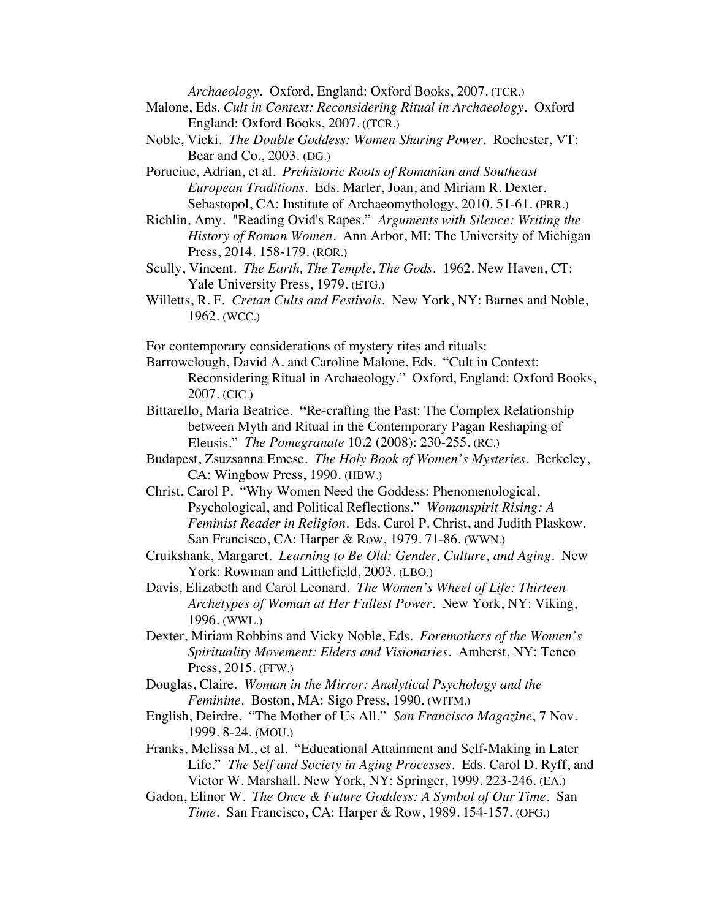*Archaeology.* Oxford, England: Oxford Books, 2007. (TCR.)

- Malone, Eds. *Cult in Context: Reconsidering Ritual in Archaeology.* Oxford England: Oxford Books, 2007. ((TCR.)
- Noble, Vicki. *The Double Goddess: Women Sharing Power*. Rochester, VT: Bear and Co., 2003. (DG.)

Poruciuc, Adrian, et al. *Prehistoric Roots of Romanian and Southeast European Traditions*. Eds. Marler, Joan, and Miriam R. Dexter. Sebastopol, CA: Institute of Archaeomythology, 2010. 51-61. (PRR.)

Richlin, Amy. "Reading Ovid's Rapes." *Arguments with Silence: Writing the History of Roman Women*. Ann Arbor, MI: The University of Michigan Press, 2014. 158-179. (ROR.)

- Scully, Vincent. *The Earth, The Temple, The Gods*. 1962. New Haven, CT: Yale University Press, 1979. (ETG.)
- Willetts, R. F. *Cretan Cults and Festivals*. New York, NY: Barnes and Noble, 1962. (WCC.)

For contemporary considerations of mystery rites and rituals:

Barrowclough, David A. and Caroline Malone, Eds. "Cult in Context: Reconsidering Ritual in Archaeology." Oxford, England: Oxford Books, 2007. (CIC.)

- Bittarello, Maria Beatrice. **"**Re-crafting the Past: The Complex Relationship between Myth and Ritual in the Contemporary Pagan Reshaping of Eleusis." *The Pomegranate* 10.2 (2008): 230-255. (RC.)
- Budapest, Zsuzsanna Emese. *The Holy Book of Women's Mysteries*. Berkeley, CA: Wingbow Press, 1990. (HBW.)
- Christ, Carol P. "Why Women Need the Goddess: Phenomenological, Psychological, and Political Reflections." *Womanspirit Rising: A Feminist Reader in Religion*. Eds. Carol P. Christ, and Judith Plaskow. San Francisco, CA: Harper & Row, 1979. 71-86. (WWN.)
- Cruikshank, Margaret. *Learning to Be Old: Gender, Culture, and Aging.* New York: Rowman and Littlefield, 2003. (LBO.)
- Davis, Elizabeth and Carol Leonard. *The Women's Wheel of Life: Thirteen Archetypes of Woman at Her Fullest Power.* New York, NY: Viking, 1996. (WWL.)
- Dexter, Miriam Robbins and Vicky Noble, Eds. *Foremothers of the Women's Spirituality Movement: Elders and Visionaries*. Amherst, NY: Teneo Press, 2015. (FFW.)
- Douglas, Claire. *Woman in the Mirror: Analytical Psychology and the Feminine.* Boston, MA: Sigo Press, 1990. (WITM.)
- English, Deirdre. "The Mother of Us All." *San Francisco Magazine*, 7 Nov. 1999. 8-24. (MOU.)
- Franks, Melissa M., et al. "Educational Attainment and Self-Making in Later Life." *The Self and Society in Aging Processes*. Eds. Carol D. Ryff, and Victor W. Marshall. New York, NY: Springer, 1999. 223-246. (EA.)
- Gadon, Elinor W. *The Once & Future Goddess: A Symbol of Our Time.* San *Time.* San Francisco, CA: Harper & Row, 1989. 154-157. (OFG.)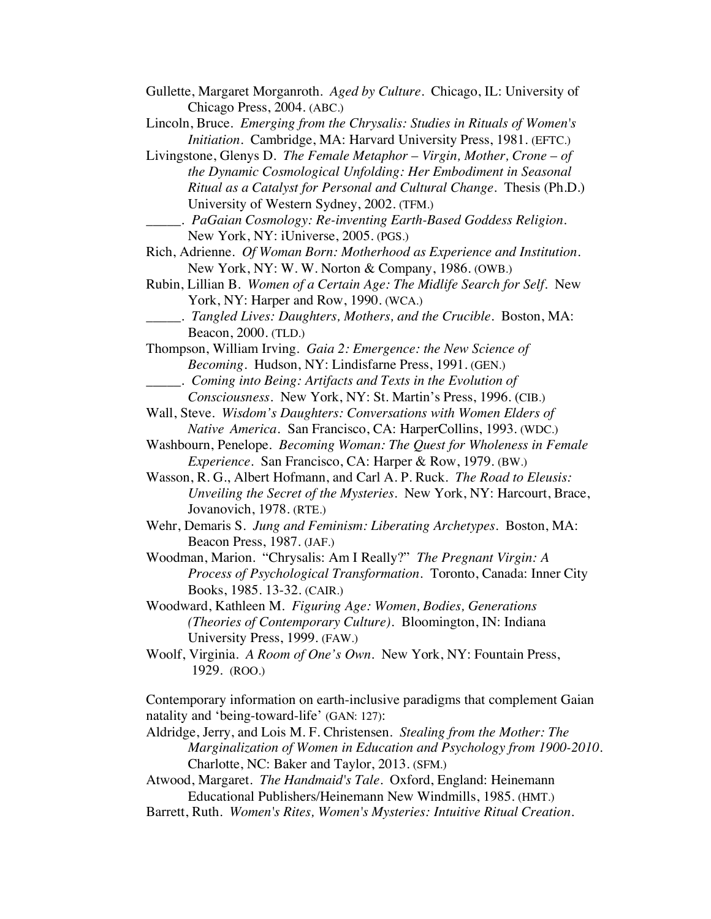- Gullette, Margaret Morganroth. *Aged by Culture*. Chicago, IL: University of Chicago Press, 2004. (ABC.)
- Lincoln, Bruce. *Emerging from the Chrysalis: Studies in Rituals of Women's Initiation.* Cambridge, MA: Harvard University Press, 1981. (EFTC.)
- Livingstone, Glenys D. *The Female Metaphor Virgin, Mother, Crone of the Dynamic Cosmological Unfolding: Her Embodiment in Seasonal Ritual as a Catalyst for Personal and Cultural Change*. Thesis (Ph.D.) University of Western Sydney, 2002. (TFM.)
	- \_\_\_\_\_. *PaGaian Cosmology: Re-inventing Earth-Based Goddess Religion*. New York, NY: iUniverse, 2005. (PGS.)
- Rich, Adrienne. *Of Woman Born: Motherhood as Experience and Institution*. New York, NY: W. W. Norton & Company, 1986. (OWB.)
- Rubin, Lillian B. *Women of a Certain Age: The Midlife Search for Self*. New York, NY: Harper and Row, 1990. (WCA.)
	- \_\_\_\_\_. *Tangled Lives: Daughters, Mothers, and the Crucible*. Boston, MA: Beacon, 2000. (TLD.)
- Thompson, William Irving. *Gaia 2: Emergence: the New Science of Becoming.* Hudson, NY: Lindisfarne Press, 1991. (GEN.)
- \_\_\_\_\_. *Coming into Being: Artifacts and Texts in the Evolution of*
- *Consciousness*. New York, NY: St. Martin's Press, 1996. (CIB.)
- Wall, Steve. *Wisdom's Daughters: Conversations with Women Elders of Native America.* San Francisco, CA: HarperCollins, 1993. (WDC.)
- Washbourn, Penelope. *Becoming Woman: The Quest for Wholeness in Female Experience*. San Francisco, CA: Harper & Row, 1979. (BW.)
- Wasson, R. G., Albert Hofmann, and Carl A. P. Ruck. *The Road to Eleusis: Unveiling the Secret of the Mysteries*. New York, NY: Harcourt, Brace, Jovanovich, 1978. (RTE.)
- Wehr, Demaris S. *Jung and Feminism: Liberating Archetypes*. Boston, MA: Beacon Press, 1987. (JAF.)
- Woodman, Marion. "Chrysalis: Am I Really?" *The Pregnant Virgin: A Process of Psychological Transformation.* Toronto, Canada: Inner City Books, 1985. 13-32. (CAIR.)
- Woodward, Kathleen M. *Figuring Age: Women, Bodies, Generations (Theories of Contemporary Culture).* Bloomington, IN: Indiana University Press, 1999. (FAW.)
- Woolf, Virginia. *A Room of One's Own*. New York, NY: Fountain Press, 1929. (ROO.)

Contemporary information on earth-inclusive paradigms that complement Gaian natality and 'being-toward-life' (GAN: 127):

- Aldridge, Jerry, and Lois M. F. Christensen. *Stealing from the Mother: The Marginalization of Women in Education and Psychology from 1900-2010*. Charlotte, NC: Baker and Taylor, 2013. (SFM.)
- Atwood, Margaret. *The Handmaid's Tale*. Oxford, England: Heinemann Educational Publishers/Heinemann New Windmills, 1985. (HMT.)
- Barrett, Ruth. *Women's Rites, Women's Mysteries: Intuitive Ritual Creation*.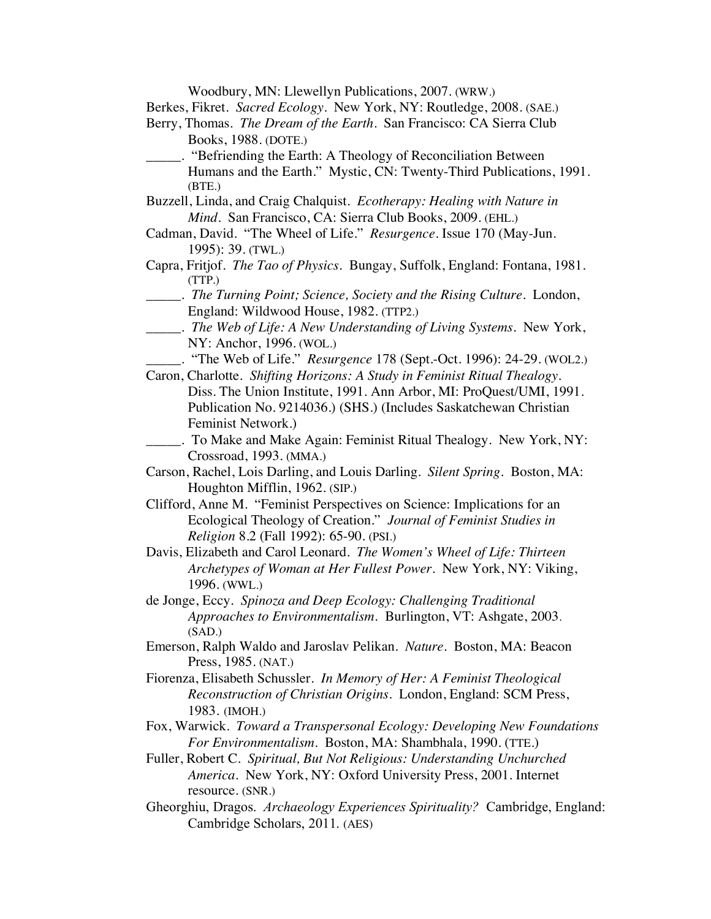Woodbury, MN: Llewellyn Publications, 2007. (WRW.)

Berkes, Fikret. *Sacred Ecology*. New York, NY: Routledge, 2008. (SAE.)

- Berry, Thomas. *The Dream of the Earth*. San Francisco: CA Sierra Club Books, 1988. (DOTE.)
- \_\_\_\_\_. "Befriending the Earth: A Theology of Reconciliation Between Humans and the Earth." Mystic, CN: Twenty-Third Publications, 1991. (BTE.)
- Buzzell, Linda, and Craig Chalquist. *Ecotherapy: Healing with Nature in Mind.* San Francisco, CA: Sierra Club Books, 2009. (EHL.)
- Cadman, David. "The Wheel of Life." *Resurgence*. Issue 170 (May-Jun. 1995): 39. (TWL.)
- Capra, Fritjof. *The Tao of Physics*. Bungay, Suffolk, England: Fontana, 1981. (TTP.)
	- \_\_\_\_\_. *The Turning Point; Science, Society and the Rising Culture*. London, England: Wildwood House, 1982. (TTP2.)
- \_\_\_\_\_. *The Web of Life: A New Understanding of Living Systems*. New York, NY: Anchor, 1996. (WOL.)
	- \_\_\_\_\_. "The Web of Life." *Resurgence* 178 (Sept.-Oct. 1996): 24-29. (WOL2.)
- Caron, Charlotte. *Shifting Horizons: A Study in Feminist Ritual Thealogy*. Diss. The Union Institute, 1991. Ann Arbor, MI: ProQuest/UMI, 1991. Publication No. 9214036.) (SHS.) (Includes Saskatchewan Christian Feminist Network.)
- \_\_\_\_\_. To Make and Make Again: Feminist Ritual Thealogy. New York, NY: Crossroad, 1993. (MMA.)
- Carson, Rachel, Lois Darling, and Louis Darling. *Silent Spring.* Boston, MA: Houghton Mifflin, 1962. (SIP.)
- Clifford, Anne M. "Feminist Perspectives on Science: Implications for an Ecological Theology of Creation." *Journal of Feminist Studies in Religion* 8.2 (Fall 1992): 65-90. (PSI.)
- Davis, Elizabeth and Carol Leonard. *The Women's Wheel of Life: Thirteen Archetypes of Woman at Her Fullest Power.* New York, NY: Viking, 1996. (WWL.)
- de Jonge, Eccy. *Spinoza and Deep Ecology: Challenging Traditional Approaches to Environmentalism.* Burlington, VT: Ashgate, 2003. (SAD.)
- Emerson, Ralph Waldo and Jaroslav Pelikan. *Nature*. Boston, MA: Beacon Press, 1985. (NAT.)
- Fiorenza, Elisabeth Schussler. *In Memory of Her: A Feminist Theological Reconstruction of Christian Origins*. London, England: SCM Press, 1983. (IMOH.)
- Fox, Warwick. *Toward a Transpersonal Ecology: Developing New Foundations For Environmentalism*. Boston, MA: Shambhala, 1990. (TTE.)
- Fuller, Robert C. *Spiritual, But Not Religious: Understanding Unchurched America*. New York, NY: Oxford University Press, 2001. Internet resource. (SNR.)
- Gheorghiu, Dragos. *Archaeology Experiences Spirituality?* Cambridge, England: Cambridge Scholars, 2011. (AES)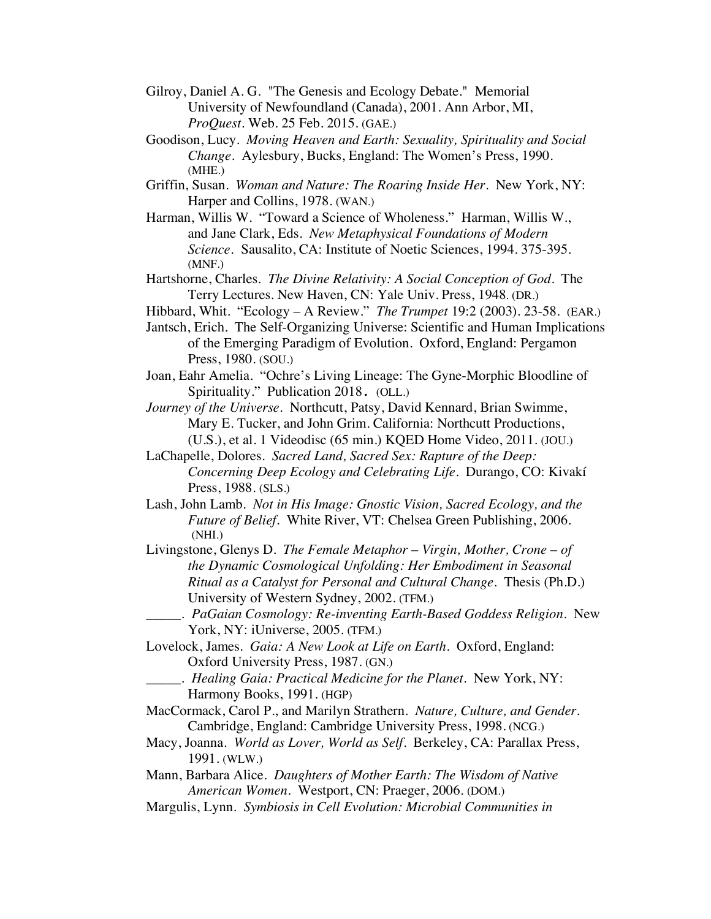- Gilroy, Daniel A. G. "The Genesis and Ecology Debate." Memorial University of Newfoundland (Canada), 2001. Ann Arbor, MI, *ProQuest.* Web. 25 Feb. 2015. (GAE.)
- Goodison, Lucy. *Moving Heaven and Earth: Sexuality, Spirituality and Social Change*. Aylesbury, Bucks, England: The Women's Press, 1990. (MHE.)
- Griffin, Susan. *Woman and Nature: The Roaring Inside Her*. New York, NY: Harper and Collins, 1978. (WAN.)
- Harman, Willis W. "Toward a Science of Wholeness." Harman, Willis W., and Jane Clark, Eds. *New Metaphysical Foundations of Modern Science.* Sausalito, CA: Institute of Noetic Sciences, 1994. 375-395. (MNF.)
- Hartshorne, Charles. *The Divine Relativity: A Social Conception of God*. The Terry Lectures. New Haven, CN: Yale Univ. Press, 1948. (DR.)
- Hibbard, Whit. "Ecology A Review." *The Trumpet* 19:2 (2003). 23-58. (EAR.)
- Jantsch, Erich. The Self-Organizing Universe: Scientific and Human Implications of the Emerging Paradigm of Evolution. Oxford, England: Pergamon Press, 1980. (SOU.)
- Joan, Eahr Amelia. "Ochre's Living Lineage: The Gyne-Morphic Bloodline of Spirituality." Publication 2018. (OLL.)
- *Journey of the Universe*. Northcutt, Patsy, David Kennard, Brian Swimme, Mary E. Tucker, and John Grim. California: Northcutt Productions, (U.S.), et al. 1 Videodisc (65 min.) KQED Home Video, 2011. (JOU.)
- LaChapelle, Dolores. *Sacred Land, Sacred Sex: Rapture of the Deep: Concerning Deep Ecology and Celebrating Life*. Durango, CO: Kivakí Press, 1988. (SLS.)
- Lash, John Lamb. *Not in His Image: Gnostic Vision, Sacred Ecology, and the Future of Belief.* White River, VT: Chelsea Green Publishing, 2006. (NHI.)
- Livingstone, Glenys D. *The Female Metaphor Virgin, Mother, Crone of the Dynamic Cosmological Unfolding: Her Embodiment in Seasonal Ritual as a Catalyst for Personal and Cultural Change*. Thesis (Ph.D.) University of Western Sydney, 2002. (TFM.)
- \_\_\_\_\_. *PaGaian Cosmology: Re-inventing Earth-Based Goddess Religion.* New York, NY: iUniverse, 2005. (TFM.)
- Lovelock, James. *Gaia: A New Look at Life on Earth*. Oxford, England: Oxford University Press, 1987. (GN.)
	- \_\_\_\_\_. *Healing Gaia: Practical Medicine for the Planet*. New York, NY: Harmony Books, 1991. (HGP)
- MacCormack, Carol P., and Marilyn Strathern. *Nature, Culture, and Gender*. Cambridge, England: Cambridge University Press, 1998. (NCG.)
- Macy, Joanna. *World as Lover, World as Self*. Berkeley, CA: Parallax Press, 1991. (WLW.)

Mann, Barbara Alice. *Daughters of Mother Earth: The Wisdom of Native American Women.* Westport, CN: Praeger, 2006. (DOM.)

Margulis, Lynn. *Symbiosis in Cell Evolution: Microbial Communities in*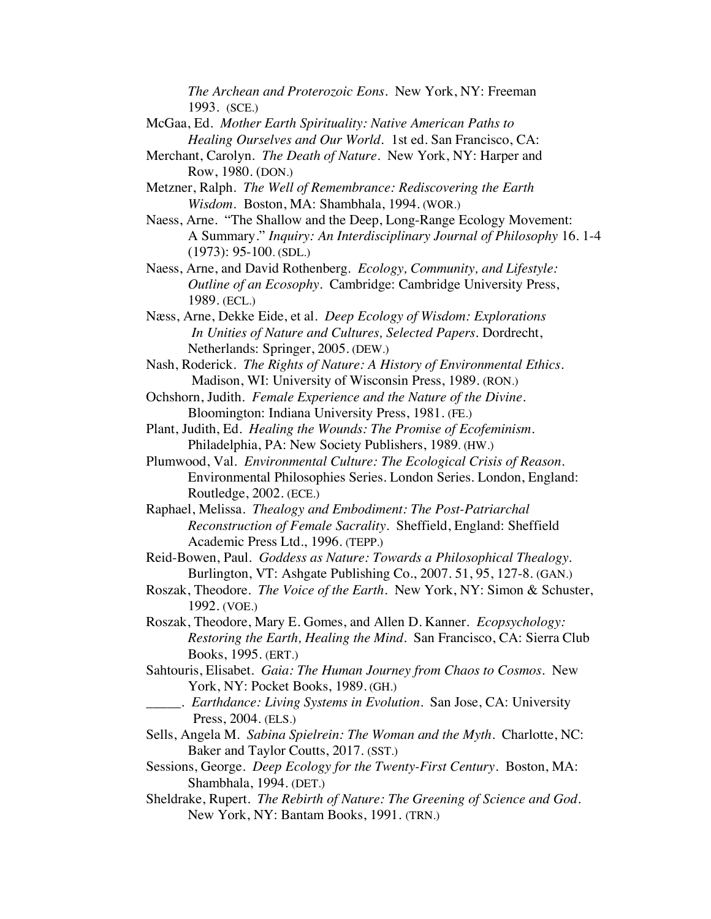*The Archean and Proterozoic Eons*. New York, NY: Freeman 1993. (SCE.)

- McGaa, Ed. *Mother Earth Spirituality: Native American Paths to Healing Ourselves and Our World.* 1st ed. San Francisco, CA:
- Merchant, Carolyn. *The Death of Nature.* New York, NY: Harper and Row, 1980. (DON.)
- Metzner, Ralph. *The Well of Remembrance: Rediscovering the Earth Wisdom.* Boston, MA: Shambhala, 1994. (WOR.)
- Naess, Arne. "The Shallow and the Deep, Long-Range Ecology Movement: A Summary." *Inquiry: An Interdisciplinary Journal of Philosophy* 16. 1-4 (1973): 95-100. (SDL.)
- Naess, Arne, and David Rothenberg*. Ecology, Community, and Lifestyle: Outline of an Ecosophy*. Cambridge: Cambridge University Press, 1989. (ECL.)
- Næss, Arne, Dekke Eide, et al. *Deep Ecology of Wisdom: Explorations In Unities of Nature and Cultures, Selected Papers.* Dordrecht, Netherlands: Springer, 2005. (DEW.)
- Nash, Roderick. *The Rights of Nature: A History of Environmental Ethics*. Madison, WI: University of Wisconsin Press, 1989. (RON.)
- Ochshorn, Judith. *Female Experience and the Nature of the Divine*. Bloomington: Indiana University Press, 1981. (FE.)
- Plant, Judith, Ed. *Healing the Wounds: The Promise of Ecofeminism*. Philadelphia, PA: New Society Publishers, 1989. (HW.)
- Plumwood, Val. *Environmental Culture: The Ecological Crisis of Reason*. Environmental Philosophies Series. London Series. London, England: Routledge, 2002. (ECE.)
- Raphael, Melissa. *Thealogy and Embodiment: The Post-Patriarchal Reconstruction of Female Sacrality*. Sheffield, England: Sheffield Academic Press Ltd., 1996. (TEPP.)
- Reid-Bowen, Paul. *Goddess as Nature: Towards a Philosophical Thealogy.* Burlington, VT: Ashgate Publishing Co., 2007. 51, 95, 127-8. (GAN.)
- Roszak, Theodore. *The Voice of the Earth*. New York, NY: Simon & Schuster, 1992. (VOE.)
- Roszak, Theodore, Mary E. Gomes, and Allen D. Kanner. *Ecopsychology: Restoring the Earth, Healing the Mind*. San Francisco, CA: Sierra Club Books, 1995. (ERT.)
- Sahtouris, Elisabet. *Gaia: The Human Journey from Chaos to Cosmos*. New York, NY: Pocket Books, 1989. (GH.)
	- \_\_\_\_\_. *Earthdance: Living Systems in Evolution*. San Jose, CA: University Press, 2004. (ELS.)
- Sells, Angela M. *Sabina Spielrein: The Woman and the Myth*. Charlotte, NC: Baker and Taylor Coutts, 2017. (SST.)
- Sessions, George. *Deep Ecology for the Twenty-First Century*. Boston, MA: Shambhala, 1994. (DET.)
- Sheldrake, Rupert. *The Rebirth of Nature: The Greening of Science and God*. New York, NY: Bantam Books, 1991. (TRN.)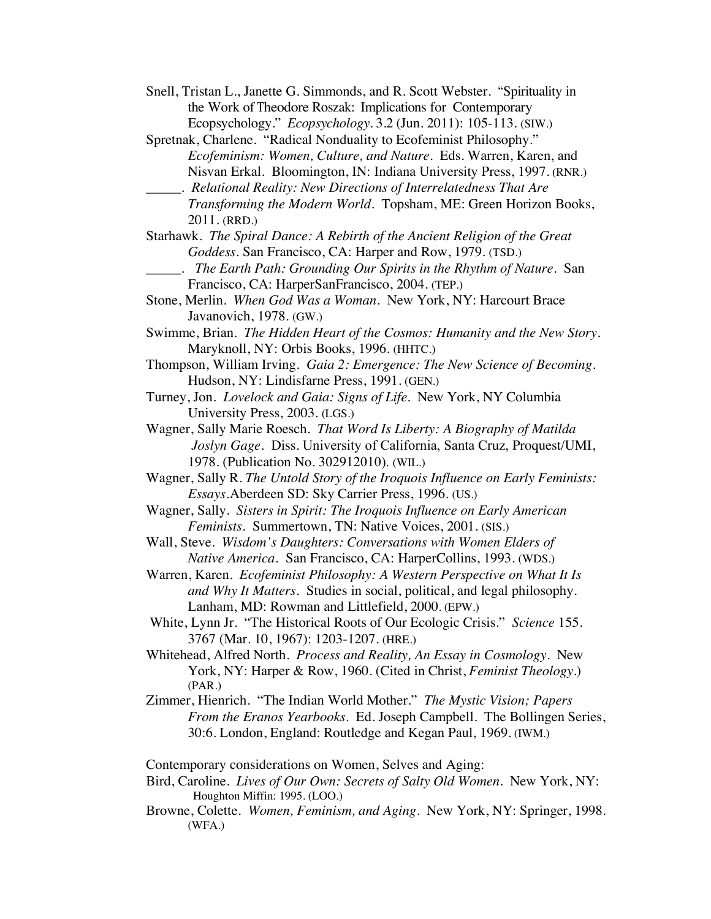- Snell, Tristan L., Janette G. Simmonds, and R. Scott Webster. "Spirituality in the Work of Theodore Roszak: Implications for Contemporary Ecopsychology." *Ecopsychology*. 3.2 (Jun. 2011): 105-113. (SIW.)
- Spretnak, Charlene. "Radical Nonduality to Ecofeminist Philosophy." *Ecofeminism: Women, Culture, and Nature*. Eds. Warren, Karen, and Nisvan Erkal. Bloomington, IN: Indiana University Press, 1997. (RNR.)
- \_\_\_\_\_. *Relational Reality: New Directions of Interrelatedness That Are Transforming the Modern World*. Topsham, ME: Green Horizon Books, 2011. (RRD.)
- Starhawk. *The Spiral Dance: A Rebirth of the Ancient Religion of the Great Goddess.* San Francisco, CA: Harper and Row, 1979. (TSD.)
- \_\_\_\_\_. *The Earth Path: Grounding Our Spirits in the Rhythm of Nature*. San Francisco, CA: HarperSanFrancisco, 2004. (TEP.)
- Stone, Merlin. *When God Was a Woman*. New York, NY: Harcourt Brace Javanovich, 1978. (GW.)
- Swimme, Brian. *The Hidden Heart of the Cosmos: Humanity and the New Story*. Maryknoll, NY: Orbis Books, 1996. (HHTC.)
- Thompson, William Irving. *Gaia 2: Emergence: The New Science of Becoming.* Hudson, NY: Lindisfarne Press, 1991. (GEN.)
- Turney, Jon. *Lovelock and Gaia: Signs of Life.* New York, NY Columbia University Press, 2003. (LGS.)
- Wagner, Sally Marie Roesch. *That Word Is Liberty: A Biography of Matilda Joslyn Gage*. Diss. University of California, Santa Cruz, Proquest/UMI, 1978. (Publication No. 302912010). (WIL.)
- Wagner, Sally R. *The Untold Story of the Iroquois Influence on Early Feminists: Essays*.Aberdeen SD: Sky Carrier Press, 1996. (US.)
- Wagner, Sally. *Sisters in Spirit: The Iroquois Influence on Early American Feminists*. Summertown, TN: Native Voices, 2001. (SIS.)
- Wall, Steve. *Wisdom's Daughters: Conversations with Women Elders of Native America.* San Francisco, CA: HarperCollins, 1993. (WDS.)
- Warren, Karen. *Ecofeminist Philosophy: A Western Perspective on What It Is and Why It Matters*. Studies in social, political, and legal philosophy. Lanham, MD: Rowman and Littlefield, 2000. (EPW.)
- White, Lynn Jr. "The Historical Roots of Our Ecologic Crisis." *Science* 155. 3767 (Mar. 10, 1967): 1203-1207. (HRE.)
- Whitehead, Alfred North. *Process and Reality, An Essay in Cosmology.* New York, NY: Harper & Row, 1960. (Cited in Christ, *Feminist Theology*.) (PAR.)
- Zimmer, Hienrich. "The Indian World Mother." *The Mystic Vision; Papers From the Eranos Yearbooks.* Ed. Joseph Campbell. The Bollingen Series, 30:6. London, England: Routledge and Kegan Paul, 1969. (IWM.)

Contemporary considerations on Women, Selves and Aging:

- Bird, Caroline. *Lives of Our Own: Secrets of Salty Old Women*. New York, NY: Houghton Miffin: 1995. (LOO.)
- Browne, Colette. *Women, Feminism, and Aging.* New York, NY: Springer, 1998. (WFA.)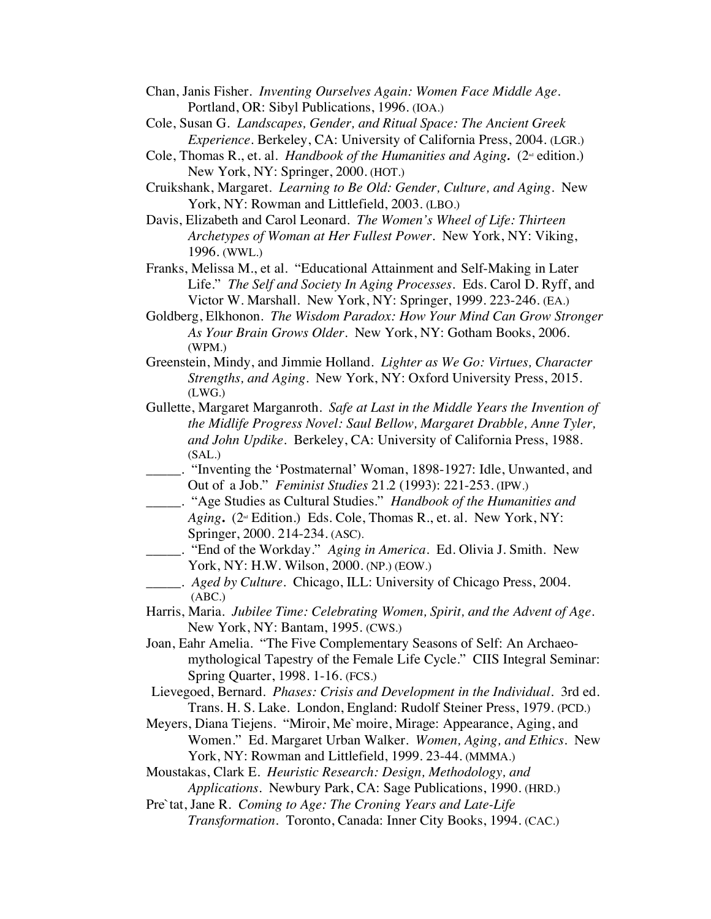- Chan, Janis Fisher. *Inventing Ourselves Again: Women Face Middle Age.* Portland, OR: Sibyl Publications, 1996. (IOA.)
- Cole, Susan G. *Landscapes, Gender, and Ritual Space: The Ancient Greek Experience*. Berkeley, CA: University of California Press, 2004. (LGR.)
- Cole, Thomas R., et. al. *Handbook of the Humanities and Aging.* ( $2^{\omega}$  edition.) New York, NY: Springer, 2000. (HOT.)
- Cruikshank, Margaret. *Learning to Be Old: Gender, Culture, and Aging.* New York, NY: Rowman and Littlefield, 2003. (LBO.)
- Davis, Elizabeth and Carol Leonard. *The Women's Wheel of Life: Thirteen Archetypes of Woman at Her Fullest Power.* New York, NY: Viking, 1996. (WWL.)
- Franks, Melissa M., et al. "Educational Attainment and Self-Making in Later Life." *The Self and Society In Aging Processes.* Eds. Carol D. Ryff, and Victor W. Marshall. New York, NY: Springer, 1999. 223-246. (EA.)
- Goldberg, Elkhonon. *The Wisdom Paradox: How Your Mind Can Grow Stronger As Your Brain Grows Older*. New York, NY: Gotham Books, 2006. (WPM.)
- Greenstein, Mindy, and Jimmie Holland. *Lighter as We Go: Virtues, Character Strengths, and Aging*. New York, NY: Oxford University Press, 2015. (LWG.)
- Gullette, Margaret Marganroth. *Safe at Last in the Middle Years the Invention of the Midlife Progress Novel: Saul Bellow, Margaret Drabble, Anne Tyler, and John Updike*. Berkeley, CA: University of California Press, 1988. (SAL.)
- \_\_\_\_\_. "Inventing the 'Postmaternal' Woman, 1898-1927: Idle, Unwanted, and Out of a Job." *Feminist Studies* 21.2 (1993): 221-253. (IPW.)
- \_\_\_\_\_. "Age Studies as Cultural Studies." *Handbook of the Humanities and*  Aging. (2<sup>nd</sup> Edition.) Eds. Cole, Thomas R., et. al. New York, NY: Springer, 2000. 214-234. (ASC).
	- \_\_\_\_\_. "End of the Workday." *Aging in America*. Ed. Olivia J. Smith. New York, NY: H.W. Wilson, 2000. (NP.) (EOW.)
- \_\_\_\_\_. *Aged by Culture*. Chicago, ILL: University of Chicago Press, 2004. (ABC.)
- Harris, Maria. *Jubilee Time: Celebrating Women, Spirit, and the Advent of Age.* New York, NY: Bantam, 1995. (CWS.)
- Joan, Eahr Amelia. "The Five Complementary Seasons of Self: An Archaeomythological Tapestry of the Female Life Cycle." CIIS Integral Seminar: Spring Quarter, 1998. 1-16. (FCS.)
- Lievegoed, Bernard. *Phases: Crisis and Development in the Individual.* 3rd ed. Trans. H. S. Lake. London, England: Rudolf Steiner Press, 1979. (PCD.)
- Meyers, Diana Tiejens. "Miroir, Me`moire, Mirage: Appearance, Aging, and Women." Ed. Margaret Urban Walker. *Women, Aging, and Ethics.* New York, NY: Rowman and Littlefield, 1999. 23-44. (MMMA.)
- Moustakas, Clark E. *Heuristic Research: Design, Methodology, and Applications.* Newbury Park, CA: Sage Publications, 1990. (HRD.)

Pre`tat, Jane R. *Coming to Age: The Croning Years and Late-Life Transformation.* Toronto, Canada: Inner City Books, 1994. (CAC.)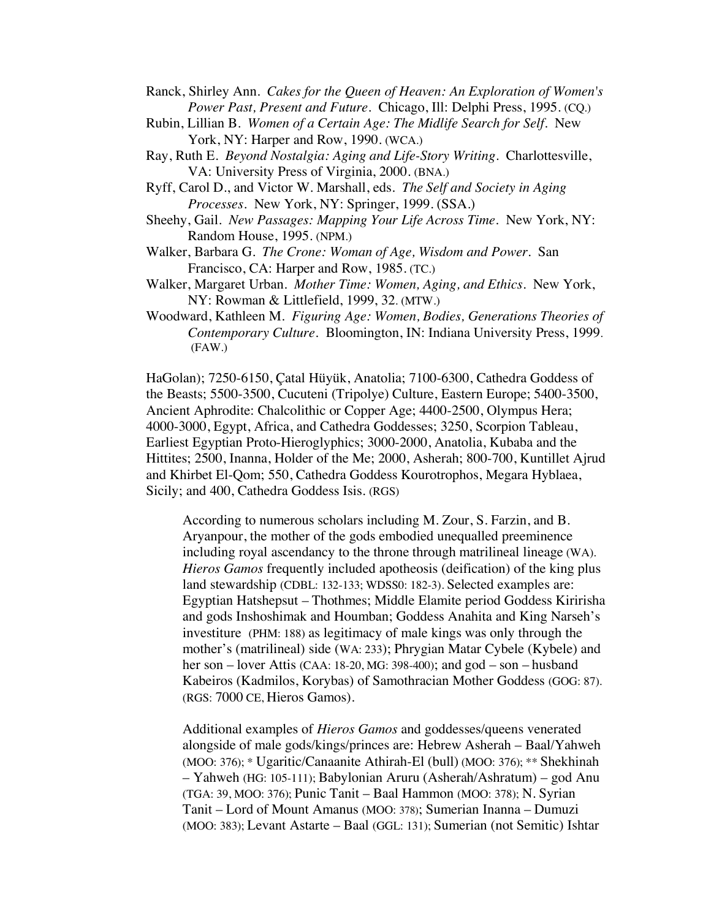- Ranck, Shirley Ann. *Cakes for the Queen of Heaven: An Exploration of Women's Power Past, Present and Future*. Chicago, Ill: Delphi Press, 1995. (CQ.)
- Rubin, Lillian B. *Women of a Certain Age: The Midlife Search for Self.* New York, NY: Harper and Row, 1990. (WCA.)
- Ray, Ruth E. *Beyond Nostalgia: Aging and Life-Story Writing*. Charlottesville, VA: University Press of Virginia, 2000. (BNA.)
- Ryff, Carol D., and Victor W. Marshall, eds. *The Self and Society in Aging Processes.* New York, NY: Springer, 1999. (SSA.)
- Sheehy, Gail. *New Passages: Mapping Your Life Across Time.* New York, NY: Random House, 1995. (NPM.)
- Walker, Barbara G. *The Crone: Woman of Age, Wisdom and Power.* San Francisco, CA: Harper and Row, 1985. (TC.)
- Walker, Margaret Urban. *Mother Time: Women, Aging, and Ethics.* New York, NY: Rowman & Littlefield, 1999, 32. (MTW.)
- Woodward, Kathleen M. *Figuring Age: Women, Bodies, Generations Theories of Contemporary Culture.* Bloomington, IN: Indiana University Press, 1999. (FAW.)

HaGolan); 7250-6150, Çatal Hüyük, Anatolia; 7100-6300, Cathedra Goddess of the Beasts; 5500-3500, Cucuteni (Tripolye) Culture, Eastern Europe; 5400-3500, Ancient Aphrodite: Chalcolithic or Copper Age; 4400-2500, Olympus Hera; 4000-3000, Egypt, Africa, and Cathedra Goddesses; 3250, Scorpion Tableau, Earliest Egyptian Proto-Hieroglyphics; 3000-2000, Anatolia, Kubaba and the Hittites; 2500, Inanna, Holder of the Me; 2000, Asherah; 800-700, Kuntillet Ajrud and Khirbet El-Qom; 550, Cathedra Goddess Kourotrophos, Megara Hyblaea, Sicily; and 400, Cathedra Goddess Isis. (RGS)

According to numerous scholars including M. Zour, S. Farzin, and B. Aryanpour, the mother of the gods embodied unequalled preeminence including royal ascendancy to the throne through matrilineal lineage (WA). *Hieros Gamos* frequently included apotheosis (deification) of the king plus land stewardship (CDBL: 132-133; WDSS0: 182-3). Selected examples are: Egyptian Hatshepsut – Thothmes; Middle Elamite period Goddess Kiririsha and gods Inshoshimak and Houmban; Goddess Anahita and King Narseh's investiture (PHM: 188) as legitimacy of male kings was only through the mother's (matrilineal) side (WA: 233); Phrygian Matar Cybele (Kybele) and her son – lover Attis (CAA: 18-20, MG: 398-400); and god – son – husband Kabeiros (Kadmilos, Korybas) of Samothracian Mother Goddess (GOG: 87). (RGS: 7000 CE, Hieros Gamos).

Additional examples of *Hieros Gamos* and goddesses/queens venerated alongside of male gods/kings/princes are: Hebrew Asherah – Baal/Yahweh (MOO: 376); \* Ugaritic/Canaanite Athirah-El (bull) (MOO: 376); \*\* Shekhinah – Yahweh (HG: 105-111); Babylonian Aruru (Asherah/Ashratum) – god Anu (TGA: 39, MOO: 376); Punic Tanit – Baal Hammon (MOO: 378); N. Syrian Tanit – Lord of Mount Amanus (MOO: 378); Sumerian Inanna – Dumuzi (MOO: 383); Levant Astarte – Baal (GGL: 131); Sumerian (not Semitic) Ishtar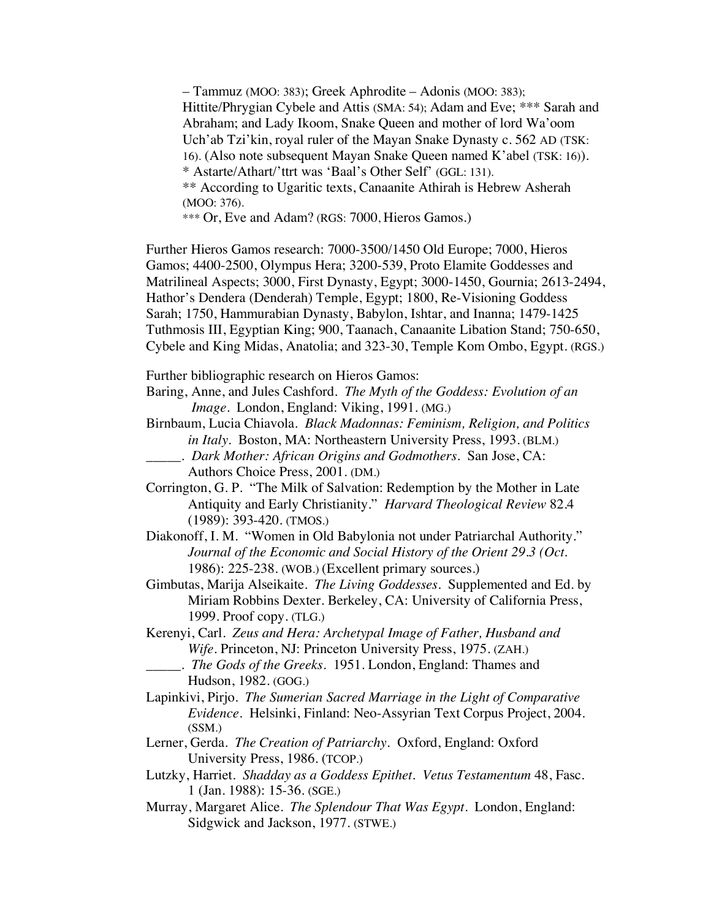– Tammuz (MOO: 383); Greek Aphrodite – Adonis (MOO: 383); Hittite/Phrygian Cybele and Attis (SMA: 54); Adam and Eve; \*\*\* Sarah and Abraham; and Lady Ikoom, Snake Queen and mother of lord Wa'oom Uch'ab Tzi'kin, royal ruler of the Mayan Snake Dynasty c. 562 AD (TSK: 16). (Also note subsequent Mayan Snake Queen named K'abel (TSK: 16)). \* Astarte/Athart/'ttrt was 'Baal's Other Self' (GGL: 131). \*\* According to Ugaritic texts, Canaanite Athirah is Hebrew Asherah (MOO: 376). \*\*\* Or, Eve and Adam? (RGS: 7000, Hieros Gamos.)

Further Hieros Gamos research: 7000-3500/1450 Old Europe; 7000, Hieros Gamos; 4400-2500, Olympus Hera; 3200-539, Proto Elamite Goddesses and Matrilineal Aspects; 3000, First Dynasty, Egypt; 3000-1450, Gournia; 2613-2494, Hathor's Dendera (Denderah) Temple, Egypt; 1800, Re-Visioning Goddess Sarah; 1750, Hammurabian Dynasty, Babylon, Ishtar, and Inanna; 1479-1425 Tuthmosis III, Egyptian King; 900, Taanach, Canaanite Libation Stand; 750-650, Cybele and King Midas, Anatolia; and 323-30, Temple Kom Ombo, Egypt. (RGS.)

Further bibliographic research on Hieros Gamos:

Baring, Anne, and Jules Cashford. *The Myth of the Goddess: Evolution of an Image*. London, England: Viking, 1991. (MG.)

- Birnbaum, Lucia Chiavola. *Black Madonnas: Feminism, Religion, and Politics in Italy.* Boston, MA: Northeastern University Press, 1993. (BLM.)
	- \_\_\_\_\_. *Dark Mother: African Origins and Godmothers*. San Jose, CA: Authors Choice Press, 2001. (DM.)
- Corrington, G. P. "The Milk of Salvation: Redemption by the Mother in Late Antiquity and Early Christianity." *Harvard Theological Review* 82.4 (1989): 393-420. (TMOS.)
- Diakonoff, I. M. "Women in Old Babylonia not under Patriarchal Authority." *Journal of the Economic and Social History of the Orient 29.3 (Oct.*  1986): 225-238. (WOB.) (Excellent primary sources.)
- Gimbutas, Marija Alseikaite. *The Living Goddesses*. Supplemented and Ed. by Miriam Robbins Dexter. Berkeley, CA: University of California Press, 1999. Proof copy. (TLG.)
- Kerenyi, Carl. *Zeus and Hera: Archetypal Image of Father, Husband and Wife*. Princeton, NJ: Princeton University Press, 1975. (ZAH.) \_\_\_\_\_. *The Gods of the Greeks*. 1951. London, England: Thames and

- Lapinkivi, Pirjo. *The Sumerian Sacred Marriage in the Light of Comparative Evidence*. Helsinki, Finland: Neo-Assyrian Text Corpus Project, 2004. (SSM.)
- Lerner, Gerda. *The Creation of Patriarchy.* Oxford, England: Oxford University Press, 1986. (TCOP.)
- Lutzky, Harriet. *Shadday as a Goddess Epithet. Vetus Testamentum* 48, Fasc. 1 (Jan. 1988): 15-36. (SGE.)
- Murray, Margaret Alice. *The Splendour That Was Egypt*. London, England: Sidgwick and Jackson, 1977. (STWE.)

Hudson, 1982. (GOG.)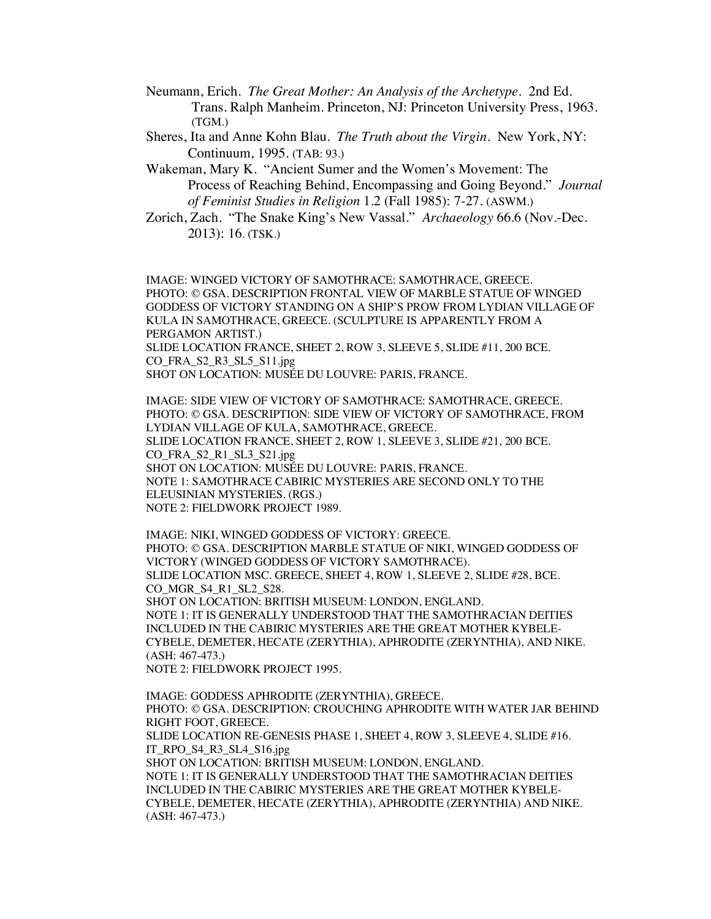- Neumann, Erich*. The Great Mother: An Analysis of the Archetype*. 2nd Ed. Trans. Ralph Manheim. Princeton, NJ: Princeton University Press, 1963. (TGM.)
- Sheres, Ita and Anne Kohn Blau. *The Truth about the Virgin*. New York, NY: Continuum, 1995. (TAB: 93.)
- Wakeman, Mary K. "Ancient Sumer and the Women's Movement: The Process of Reaching Behind, Encompassing and Going Beyond." *Journal of Feminist Studies in Religion* 1.2 (Fall 1985): 7-27. (ASWM.)
- Zorich, Zach. "The Snake King's New Vassal." *Archaeology* 66.6 (Nov.-Dec. 2013): 16. (TSK.)

IMAGE: WINGED VICTORY OF SAMOTHRACE: SAMOTHRACE, GREECE. PHOTO: © GSA. DESCRIPTION FRONTAL VIEW OF MARBLE STATUE OF WINGED GODDESS OF VICTORY STANDING ON A SHIP'S PROW FROM LYDIAN VILLAGE OF KULA IN SAMOTHRACE, GREECE. (SCULPTURE IS APPARENTLY FROM A PERGAMON ARTIST.) SLIDE LOCATION FRANCE, SHEET 2, ROW 3, SLEEVE 5, SLIDE #11, 200 BCE.

CO\_FRA\_S2\_R3\_SL5\_S11.jpg

SHOT ON LOCATION: MUSÉE DU LOUVRE: PARIS, FRANCE.

IMAGE: SIDE VIEW OF VICTORY OF SAMOTHRACE: SAMOTHRACE, GREECE. PHOTO: © GSA. DESCRIPTION: SIDE VIEW OF VICTORY OF SAMOTHRACE, FROM LYDIAN VILLAGE OF KULA, SAMOTHRACE, GREECE. SLIDE LOCATION FRANCE, SHEET 2, ROW 1, SLEEVE 3, SLIDE #21, 200 BCE. CO\_FRA\_S2\_R1\_SL3\_S21.jpg SHOT ON LOCATION: MUSÉE DU LOUVRE: PARIS, FRANCE. NOTE 1: SAMOTHRACE CABIRIC MYSTERIES ARE SECOND ONLY TO THE ELEUSINIAN MYSTERIES. (RGS.) NOTE 2: FIELDWORK PROJECT 1989.

IMAGE: NIKI, WINGED GODDESS OF VICTORY: GREECE. PHOTO: © GSA. DESCRIPTION MARBLE STATUE OF NIKI, WINGED GODDESS OF VICTORY (WINGED GODDESS OF VICTORY SAMOTHRACE). SLIDE LOCATION MSC. GREECE, SHEET 4, ROW 1, SLEEVE 2, SLIDE #28, BCE. CO MGR S4 R1 SL2 S28. SHOT ON LOCATION: BRITISH MUSEUM: LONDON, ENGLAND. NOTE 1: IT IS GENERALLY UNDERSTOOD THAT THE SAMOTHRACIAN DEITIES INCLUDED IN THE CABIRIC MYSTERIES ARE THE GREAT MOTHER KYBELE-CYBELE, DEMETER, HECATE (ZERYTHIA), APHRODITE (ZERYNTHIA), AND NIKE. (ASH: 467-473.) NOTE 2: FIELDWORK PROJECT 1995.

IMAGE: GODDESS APHRODITE (ZERYNTHIA), GREECE. PHOTO: © GSA. DESCRIPTION: CROUCHING APHRODITE WITH WATER JAR BEHIND RIGHT FOOT, GREECE. SLIDE LOCATION RE-GENESIS PHASE 1, SHEET 4, ROW 3, SLEEVE 4, SLIDE #16. IT\_RPO\_S4\_R3\_SL4\_S16.jpg SHOT ON LOCATION: BRITISH MUSEUM: LONDON, ENGLAND. NOTE 1: IT IS GENERALLY UNDERSTOOD THAT THE SAMOTHRACIAN DEITIES INCLUDED IN THE CABIRIC MYSTERIES ARE THE GREAT MOTHER KYBELE-CYBELE, DEMETER, HECATE (ZERYTHIA), APHRODITE (ZERYNTHIA) AND NIKE. (ASH: 467-473.)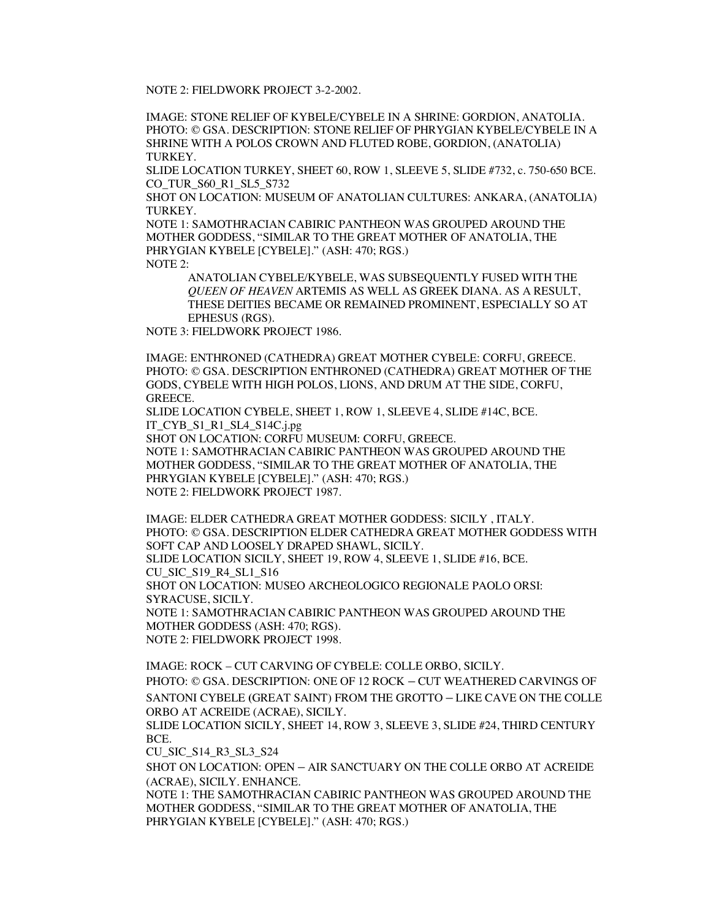NOTE 2: FIELDWORK PROJECT 3-2-2002.

IMAGE: STONE RELIEF OF KYBELE/CYBELE IN A SHRINE: GORDION, ANATOLIA. PHOTO: © GSA. DESCRIPTION: STONE RELIEF OF PHRYGIAN KYBELE/CYBELE IN A SHRINE WITH A POLOS CROWN AND FLUTED ROBE, GORDION, (ANATOLIA) TURKEY.

SLIDE LOCATION TURKEY, SHEET 60, ROW 1, SLEEVE 5, SLIDE #732, c. 750-650 BCE. CO\_TUR\_S60\_R1\_SL5\_S732

SHOT ON LOCATION: MUSEUM OF ANATOLIAN CULTURES: ANKARA, (ANATOLIA) TURKEY.

NOTE 1: SAMOTHRACIAN CABIRIC PANTHEON WAS GROUPED AROUND THE MOTHER GODDESS, "SIMILAR TO THE GREAT MOTHER OF ANATOLIA, THE PHRYGIAN KYBELE [CYBELE]." (ASH: 470; RGS.) NOTE  $2$ 

ANATOLIAN CYBELE/KYBELE, WAS SUBSEQUENTLY FUSED WITH THE *QUEEN OF HEAVEN* ARTEMIS AS WELL AS GREEK DIANA. AS A RESULT, THESE DEITIES BECAME OR REMAINED PROMINENT, ESPECIALLY SO AT EPHESUS (RGS).

NOTE 3: FIELDWORK PROJECT 1986.

IMAGE: ENTHRONED (CATHEDRA) GREAT MOTHER CYBELE: CORFU, GREECE. PHOTO: © GSA. DESCRIPTION ENTHRONED (CATHEDRA) GREAT MOTHER OF THE GODS, CYBELE WITH HIGH POLOS, LIONS, AND DRUM AT THE SIDE, CORFU, GREECE.

SLIDE LOCATION CYBELE, SHEET 1, ROW 1, SLEEVE 4, SLIDE #14C, BCE. IT\_CYB\_S1\_R1\_SL4\_S14C.j.pg

SHOT ON LOCATION: CORFU MUSEUM: CORFU, GREECE.

NOTE 1: SAMOTHRACIAN CABIRIC PANTHEON WAS GROUPED AROUND THE MOTHER GODDESS, "SIMILAR TO THE GREAT MOTHER OF ANATOLIA, THE PHRYGIAN KYBELE [CYBELE]." (ASH: 470; RGS.) NOTE 2: FIELDWORK PROJECT 1987.

IMAGE: ELDER CATHEDRA GREAT MOTHER GODDESS: SICILY , ITALY. PHOTO: © GSA. DESCRIPTION ELDER CATHEDRA GREAT MOTHER GODDESS WITH SOFT CAP AND LOOSELY DRAPED SHAWL, SICILY. SLIDE LOCATION SICILY, SHEET 19, ROW 4, SLEEVE 1, SLIDE #16, BCE.

CU\_SIC\_S19\_R4\_SL1\_S16

SHOT ON LOCATION: MUSEO ARCHEOLOGICO REGIONALE PAOLO ORSI: SYRACUSE, SICILY.

NOTE 1: SAMOTHRACIAN CABIRIC PANTHEON WAS GROUPED AROUND THE MOTHER GODDESS (ASH: 470; RGS). NOTE 2: FIELDWORK PROJECT 1998.

IMAGE: ROCK – CUT CARVING OF CYBELE: COLLE ORBO, SICILY.

PHOTO: © GSA. DESCRIPTION: ONE OF 12 ROCK – CUT WEATHERED CARVINGS OF SANTONI CYBELE **(**GREAT SAINT) FROM THE GROTTO – LIKE CAVE ON THE COLLE ORBO AT ACREIDE (ACRAE), SICILY.

SLIDE LOCATION SICILY, SHEET 14, ROW 3, SLEEVE 3, SLIDE #24, THIRD CENTURY BCE.

CU\_SIC\_S14\_R3\_SL3\_S24

SHOT ON LOCATION: OPEN – AIR SANCTUARY ON THE COLLE ORBO AT ACREIDE (ACRAE), SICILY. ENHANCE.

NOTE 1: THE SAMOTHRACIAN CABIRIC PANTHEON WAS GROUPED AROUND THE MOTHER GODDESS, "SIMILAR TO THE GREAT MOTHER OF ANATOLIA, THE PHRYGIAN KYBELE [CYBELE]." (ASH: 470; RGS.)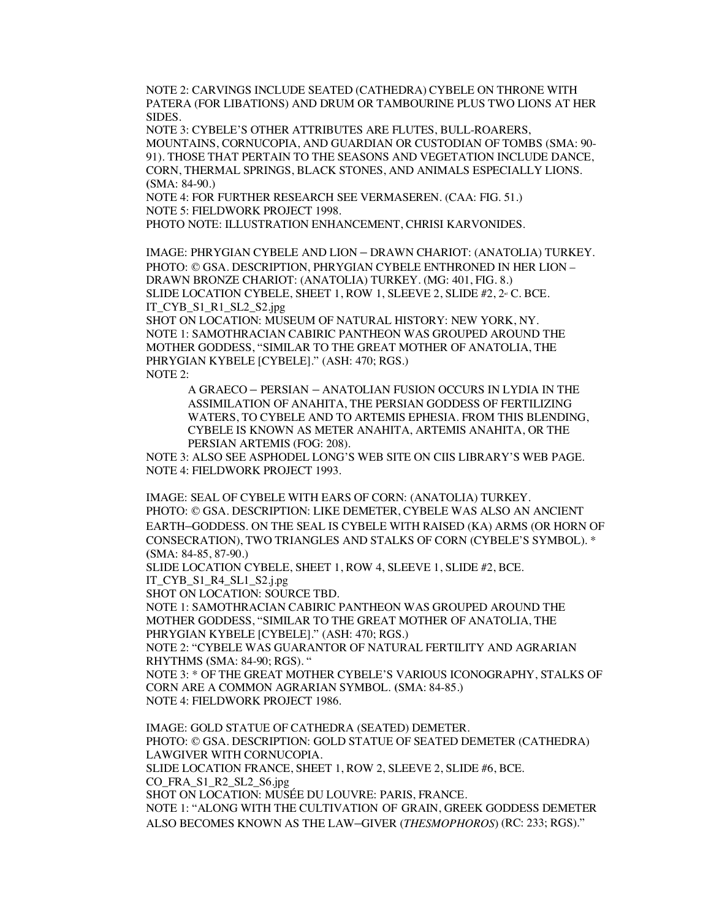NOTE 2: CARVINGS INCLUDE SEATED (CATHEDRA) CYBELE ON THRONE WITH PATERA (FOR LIBATIONS) AND DRUM OR TAMBOURINE PLUS TWO LIONS AT HER SIDES.

NOTE 3: CYBELE'S OTHER ATTRIBUTES ARE FLUTES, BULL-ROARERS, MOUNTAINS, CORNUCOPIA, AND GUARDIAN OR CUSTODIAN OF TOMBS (SMA: 90- 91). THOSE THAT PERTAIN TO THE SEASONS AND VEGETATION INCLUDE DANCE, CORN, THERMAL SPRINGS, BLACK STONES, AND ANIMALS ESPECIALLY LIONS. **(**SMA: 84-90.)

NOTE 4: FOR FURTHER RESEARCH SEE VERMASEREN. (CAA: FIG. 51.) NOTE 5: FIELDWORK PROJECT 1998.

PHOTO NOTE: ILLUSTRATION ENHANCEMENT, CHRISI KARVONIDES.

IMAGE: PHRYGIAN CYBELE AND LION – DRAWN CHARIOT: (ANATOLIA) TURKEY. PHOTO: © GSA. DESCRIPTION, PHRYGIAN CYBELE ENTHRONED IN HER LION – DRAWN BRONZE CHARIOT: (ANATOLIA) TURKEY. (MG: 401, FIG. 8.) SLIDE LOCATION CYBELE, SHEET 1, ROW 1, SLEEVE 2, SLIDE  $#2, 2^{\omega}$  C. BCE. IT\_CYB\_S1\_R1\_SL2\_S2.jpg

SHOT ON LOCATION: MUSEUM OF NATURAL HISTORY: NEW YORK, NY. NOTE 1: SAMOTHRACIAN CABIRIC PANTHEON WAS GROUPED AROUND THE MOTHER GODDESS, "SIMILAR TO THE GREAT MOTHER OF ANATOLIA, THE PHRYGIAN KYBELE [CYBELE]." (ASH: 470; RGS.) NOTE 2:

A GRAECO – PERSIAN – ANATOLIAN FUSION OCCURS IN LYDIA IN THE ASSIMILATION OF ANAHITA, THE PERSIAN GODDESS OF FERTILIZING WATERS, TO CYBELE AND TO ARTEMIS EPHESIA. FROM THIS BLENDING, CYBELE IS KNOWN AS METER ANAHITA, ARTEMIS ANAHITA, OR THE PERSIAN ARTEMIS (FOG: 208).

NOTE 3: ALSO SEE ASPHODEL LONG'S WEB SITE ON CIIS LIBRARY'S WEB PAGE. NOTE 4: FIELDWORK PROJECT 1993.

IMAGE: SEAL OF CYBELE WITH EARS OF CORN: (ANATOLIA) TURKEY. PHOTO: © GSA. DESCRIPTION: LIKE DEMETER, CYBELE WAS ALSO AN ANCIENT EARTH–GODDESS. ON THE SEAL IS CYBELE WITH RAISED (KA) ARMS (OR HORN OF CONSECRATION), TWO TRIANGLES AND STALKS OF CORN (CYBELE'S SYMBOL). \* **(**SMA: 84-85, 87-90.)

SLIDE LOCATION CYBELE, SHEET 1, ROW 4, SLEEVE 1, SLIDE #2, BCE. IT\_CYB\_S1\_R4\_SL1\_S2.j.pg

SHOT ON LOCATION: SOURCE TBD.

NOTE 1: SAMOTHRACIAN CABIRIC PANTHEON WAS GROUPED AROUND THE MOTHER GODDESS, "SIMILAR TO THE GREAT MOTHER OF ANATOLIA, THE PHRYGIAN KYBELE [CYBELE]." (ASH: 470; RGS.)

NOTE 2: "CYBELE WAS GUARANTOR OF NATURAL FERTILITY AND AGRARIAN RHYTHMS **(**SMA: 84-90; RGS). "

NOTE 3: \* OF THE GREAT MOTHER CYBELE'S VARIOUS ICONOGRAPHY, STALKS OF CORN ARE A COMMON AGRARIAN SYMBOL. **(**SMA: 84-85.) NOTE 4: FIELDWORK PROJECT 1986.

IMAGE: GOLD STATUE OF CATHEDRA (SEATED) DEMETER. PHOTO: © GSA. DESCRIPTION: GOLD STATUE OF SEATED DEMETER (CATHEDRA) LAWGIVER WITH CORNUCOPIA. SLIDE LOCATION FRANCE, SHEET 1, ROW 2, SLEEVE 2, SLIDE #6, BCE. CO\_FRA\_S1\_R2\_SL2\_S6.jpg SHOT ON LOCATION: MUSÉE DU LOUVRE: PARIS, FRANCE. NOTE 1: "ALONG WITH THE CULTIVATION OF GRAIN, GREEK GODDESS DEMETER ALSO BECOMES KNOWN AS THE LAW–GIVER (*THESMOPHOROS*) (RC: 233; RGS)."